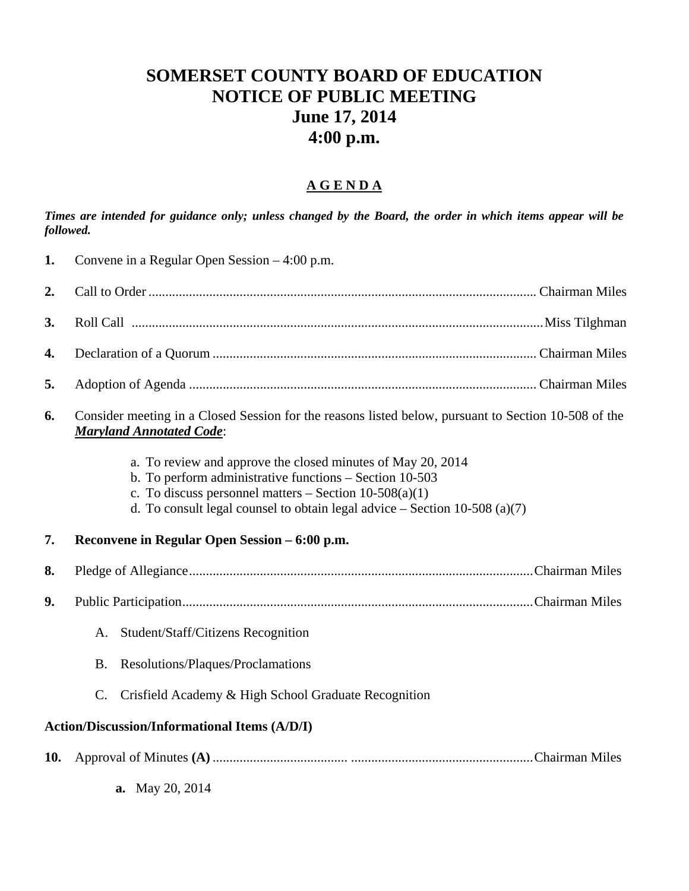## **SOMERSET COUNTY BOARD OF EDUCATION NOTICE OF PUBLIC MEETING June 17, 2014 4:00 p.m.**

## **A G E N D A**

*Times are intended for guidance only; unless changed by the Board, the order in which items appear will be followed.* 

| 1.  | Convene in a Regular Open Session $-4:00$ p.m.                                                                                                                                                                                                                     |  |
|-----|--------------------------------------------------------------------------------------------------------------------------------------------------------------------------------------------------------------------------------------------------------------------|--|
| 2.  |                                                                                                                                                                                                                                                                    |  |
| 3.  |                                                                                                                                                                                                                                                                    |  |
| 4.  |                                                                                                                                                                                                                                                                    |  |
| 5.  |                                                                                                                                                                                                                                                                    |  |
| 6.  | Consider meeting in a Closed Session for the reasons listed below, pursuant to Section 10-508 of the<br><b>Maryland Annotated Code:</b>                                                                                                                            |  |
|     | a. To review and approve the closed minutes of May 20, 2014<br>b. To perform administrative functions – Section 10-503<br>c. To discuss personnel matters $-$ Section 10-508(a)(1)<br>d. To consult legal counsel to obtain legal advice $-$ Section 10-508 (a)(7) |  |
| 7.  | Reconvene in Regular Open Session – 6:00 p.m.                                                                                                                                                                                                                      |  |
| 8.  |                                                                                                                                                                                                                                                                    |  |
| 9.  |                                                                                                                                                                                                                                                                    |  |
|     | Student/Staff/Citizens Recognition<br>A.                                                                                                                                                                                                                           |  |
|     | Resolutions/Plaques/Proclamations<br><b>B.</b>                                                                                                                                                                                                                     |  |
|     | Crisfield Academy & High School Graduate Recognition<br>$\mathcal{C}$ .                                                                                                                                                                                            |  |
|     | <b>Action/Discussion/Informational Items (A/D/I)</b>                                                                                                                                                                                                               |  |
| 10. |                                                                                                                                                                                                                                                                    |  |

**a.** May 20, 2014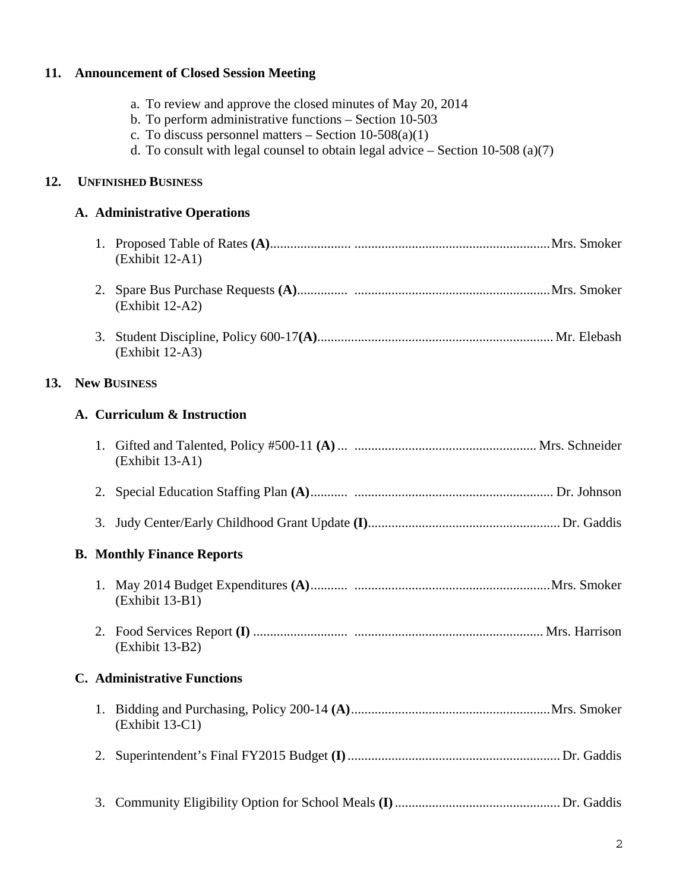## **11. Announcement of Closed Session Meeting**

**12.** 

**13.** 

| b. To perform administrative functions – Section 10-503<br>c. To discuss personnel matters – Section $10-508(a)(1)$<br>d. To consult with legal counsel to obtain legal advice $-$ Section 10-508 (a)(7) |  |  |  |
|----------------------------------------------------------------------------------------------------------------------------------------------------------------------------------------------------------|--|--|--|
| <b>UNFINISHED BUSINESS</b>                                                                                                                                                                               |  |  |  |
| A. Administrative Operations                                                                                                                                                                             |  |  |  |
| (Exhibit 12-A1)                                                                                                                                                                                          |  |  |  |
| (Exhibit 12-A2)                                                                                                                                                                                          |  |  |  |
| 3.<br>(Exhibit 12-A3)                                                                                                                                                                                    |  |  |  |
| <b>New BUSINESS</b>                                                                                                                                                                                      |  |  |  |
| A. Curriculum & Instruction                                                                                                                                                                              |  |  |  |
| (Exhibit 13-A1)                                                                                                                                                                                          |  |  |  |
| 2.                                                                                                                                                                                                       |  |  |  |
| 3.                                                                                                                                                                                                       |  |  |  |
| <b>B.</b> Monthly Finance Reports                                                                                                                                                                        |  |  |  |
| (Exhibit 13-B1)                                                                                                                                                                                          |  |  |  |
| 2.<br>(Exhibit 13-B2)                                                                                                                                                                                    |  |  |  |
| <b>C.</b> Administrative Functions                                                                                                                                                                       |  |  |  |
| (Exhibit 13-C1)                                                                                                                                                                                          |  |  |  |
| 2.                                                                                                                                                                                                       |  |  |  |
| 3.                                                                                                                                                                                                       |  |  |  |

a. To review and approve the closed minutes of May 20, 2014